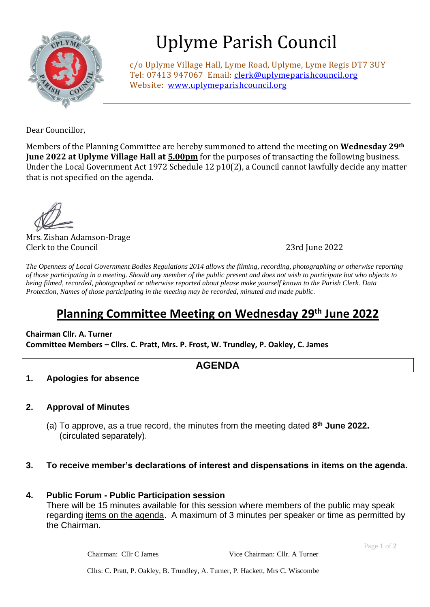

# Uplyme Parish Council

c/o Uplyme Village Hall, Lyme Road, Uplyme, Lyme Regis DT7 3UY Tel: 07413 947067 Email: [clerk@uplymeparishcouncil.org](mailto:clerk@uplymeparishcouncil.org) Website: [www.uplymeparishcouncil.org](http://www.uplymeparishcouncil.org/)

Dear Councillor,

Members of the Planning Committee are hereby summoned to attend the meeting on **Wednesday 29th June 2022 at Uplyme Village Hall at 5.00pm** for the purposes of transacting the following business. Under the Local Government Act 1972 Schedule 12 p10(2), a Council cannot lawfully decide any matter that is not specified on the agenda.

Mrs. Zishan Adamson-Drage Clerk to the Council 23rd June 2022

*The Openness of Local Government Bodies Regulations 2014 allows the filming, recording, photographing or otherwise reporting of those participating in a meeting. Should any member of the public present and does not wish to participate but who objects to being filmed, recorded, photographed or otherwise reported about please make yourself known to the Parish Clerk. Data Protection, Names of those participating in the meeting may be recorded, minuted and made public.*

# **Planning Committee Meeting on Wednesday 29th June 2022**

## **Chairman Cllr. A. Turner**

**Committee Members – Cllrs. C. Pratt, Mrs. P. Frost, W. Trundley, P. Oakley, C. James**

**AGENDA**

**1. Apologies for absence**

### **2. Approval of Minutes**

(a) To approve, as a true record, the minutes from the meeting dated **8 th June 2022.**  (circulated separately).

#### **3. To receive member's declarations of interest and dispensations in items on the agenda.**

**4. Public Forum - Public Participation session**  There will be 15 minutes available for this session where members of the public may speak regarding items on the agenda. A maximum of 3 minutes per speaker or time as permitted by the Chairman.

Chairman: Cllr C James Vice Chairman: Cllr. A Turner

Page **1** of **2**